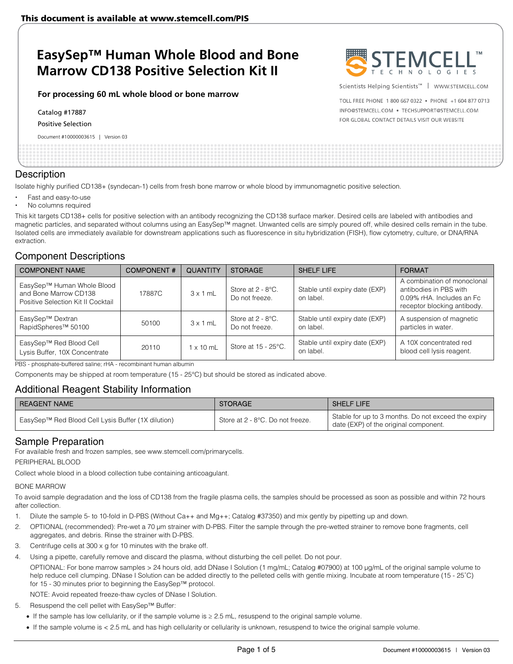# **EasySep™ Human Whole Blood and Bone Marrow CD138 Positive Selection Kit II**

#### **For processing 60 mL whole blood or bone marrow**

Catalog #17887

Positive Selection

Document #10000003615 | Version 03



Scientists Helping Scientists<sup>™</sup> | WWW.STEMCELL.COM

TOLL FREE PHONE 1 800 667 0322 . PHONE +1 604 877 0713 INFO@STEMCELL.COM . TECHSUPPORT@STEMCELL.COM FOR GLOBAL CONTACT DETAILS VISIT OUR WEBSITE

# **Description**

Isolate highly purified CD138+ (syndecan-1) cells from fresh bone marrow or whole blood by immunomagnetic positive selection.

- Fast and easy-to-use
- No columns required

This kit targets CD138+ cells for positive selection with an antibody recognizing the CD138 surface marker. Desired cells are labeled with antibodies and magnetic particles, and separated without columns using an EasySep™ magnet. Unwanted cells are simply poured off, while desired cells remain in the tube. Isolated cells are immediately available for downstream applications such as fluorescence in situ hybridization (FISH), flow cytometry, culture, or DNA/RNA extraction.

# Component Descriptions

| <b>COMPONENT NAME</b>                                                                     | <b>COMPONENT#</b> | <b>QUANTITY</b> | <b>STORAGE</b>                         | <b>SHELF LIFE</b>                           | <b>FORMAT</b>                                                                                                     |
|-------------------------------------------------------------------------------------------|-------------------|-----------------|----------------------------------------|---------------------------------------------|-------------------------------------------------------------------------------------------------------------------|
| EasySep™ Human Whole Blood<br>and Bone Marrow CD138<br>Positive Selection Kit II Cocktail | 17887C            | $3 \times 1$ mL | Store at $2 - 8$ °C.<br>Do not freeze. | Stable until expiry date (EXP)<br>on label. | A combination of monoclonal<br>antibodies in PBS with<br>0.09% rHA. Includes an Fc<br>receptor blocking antibody. |
| EasySep™ Dextran<br>RapidSpheres <sup>™</sup> 50100                                       | 50100             | $3 \times 1$ mL | Store at $2 - 8$ °C.<br>Do not freeze. | Stable until expiry date (EXP)<br>on label. | A suspension of magnetic<br>particles in water.                                                                   |
| EasySep™ Red Blood Cell<br>Lysis Buffer, 10X Concentrate                                  | 20110             | 1 x 10 mL       | Store at 15 - 25°C.                    | Stable until expiry date (EXP)<br>on label. | A 10X concentrated red<br>blood cell lysis reagent.                                                               |

PBS - phosphate-buffered saline; rHA - recombinant human albumin

Components may be shipped at room temperature (15 - 25°C) but should be stored as indicated above.

# Additional Reagent Stability Information

| <b>REAGENT NAME</b>                                | <b>STORAGE</b>                   | <b>SHELF LIFE</b>                                                                            |
|----------------------------------------------------|----------------------------------|----------------------------------------------------------------------------------------------|
| EasySep™ Red Blood Cell Lysis Buffer (1X dilution) | Store at 2 - 8°C. Do not freeze. | Stable for up to 3 months. Do not exceed the expiry<br>date (EXP) of the original component. |

# Sample Preparation

For available fresh and frozen samples, see www.stemcell.com/primarycells.

PERIPHERAL BLOOD

Collect whole blood in a blood collection tube containing anticoagulant.

### BONE MARROW

To avoid sample degradation and the loss of CD138 from the fragile plasma cells, the samples should be processed as soon as possible and within 72 hours after collection.

- 1. Dilute the sample 5- to 10-fold in D-PBS (Without Ca++ and Mg++; Catalog #37350) and mix gently by pipetting up and down.
- 2. OPTIONAL (recommended): Pre-wet a 70 μm strainer with D-PBS. Filter the sample through the pre-wetted strainer to remove bone fragments, cell aggregates, and debris. Rinse the strainer with D-PBS.
- 3. Centrifuge cells at 300 x g for 10 minutes with the brake off.
- 4. Using a pipette, carefully remove and discard the plasma, without disturbing the cell pellet. Do not pour.
	- OPTIONAL: For bone marrow samples > 24 hours old, add DNase I Solution (1 mg/mL; Catalog #07900) at 100 μg/mL of the original sample volume to help reduce cell clumping. DNase I Solution can be added directly to the pelleted cells with gentle mixing. Incubate at room temperature (15 - 25˚C) for 15 - 30 minutes prior to beginning the EasySep™ protocol.

NOTE: Avoid repeated freeze-thaw cycles of DNase I Solution.

5. Resuspend the cell pellet with EasySep™ Buffer:

If the sample has low cellularity, or if the sample volume is ≥ 2.5 mL, resuspend to the original sample volume.

If the sample volume is < 2.5 mL and has high cellularity or cellularity is unknown, resuspend to twice the original sample volume.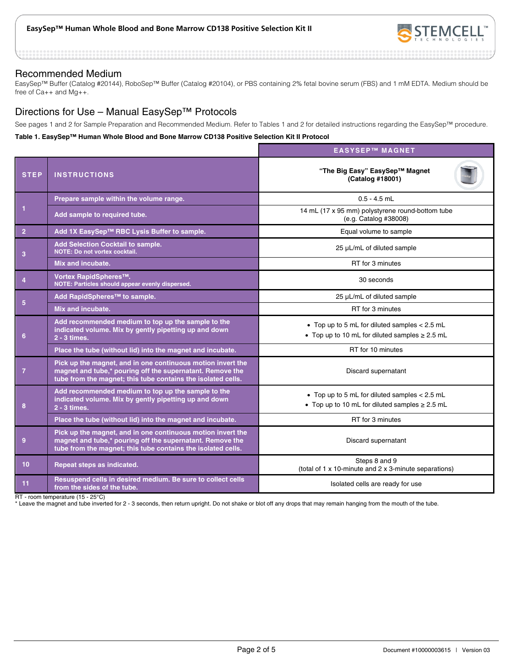

### Recommended Medium

EasySep™ Buffer (Catalog #20144), RoboSep™ Buffer (Catalog #20104), or PBS containing 2% fetal bovine serum (FBS) and 1 mM EDTA. Medium should be free of Ca++ and Mg++.

# Directions for Use – Manual EasySep™ Protocols

See pages 1 and 2 for Sample Preparation and Recommended Medium. Refer to Tables 1 and 2 for detailed instructions regarding the EasySep™ procedure.

#### **Table 1. EasySep™ Human Whole Blood and Bone Marrow CD138 Positive Selection Kit II Protocol**

|                 |                                                                                                                                                                                          | <b>EASYSEP™ MAGNET</b>                                                                                 |  |  |
|-----------------|------------------------------------------------------------------------------------------------------------------------------------------------------------------------------------------|--------------------------------------------------------------------------------------------------------|--|--|
| <b>STEP</b>     | <b>INSTRUCTIONS</b>                                                                                                                                                                      | "The Big Easy" EasySep™ Magnet<br>(Catalog #18001)                                                     |  |  |
| 1               | Prepare sample within the volume range.                                                                                                                                                  | $0.5 - 4.5$ mL                                                                                         |  |  |
|                 | Add sample to required tube.                                                                                                                                                             | 14 mL (17 x 95 mm) polystyrene round-bottom tube<br>(e.g. Catalog #38008)                              |  |  |
| $\overline{2}$  | Add 1X EasySep™ RBC Lysis Buffer to sample.                                                                                                                                              | Equal volume to sample                                                                                 |  |  |
| 3               | Add Selection Cocktail to sample.<br><b>NOTE: Do not vortex cocktail.</b>                                                                                                                | 25 µL/mL of diluted sample                                                                             |  |  |
|                 | Mix and incubate.                                                                                                                                                                        | RT for 3 minutes                                                                                       |  |  |
| $\overline{4}$  | Vortex RapidSpheres™.<br>NOTE: Particles should appear evenly dispersed.                                                                                                                 | 30 seconds                                                                                             |  |  |
|                 | Add RapidSpheres™ to sample.                                                                                                                                                             | 25 µL/mL of diluted sample                                                                             |  |  |
| 5               | Mix and incubate.                                                                                                                                                                        | RT for 3 minutes                                                                                       |  |  |
| 6               | Add recommended medium to top up the sample to the<br>indicated volume. Mix by gently pipetting up and down<br>2 - 3 times.                                                              | • Top up to 5 mL for diluted samples $< 2.5$ mL<br>• Top up to 10 mL for diluted samples $\geq$ 2.5 mL |  |  |
|                 | Place the tube (without lid) into the magnet and incubate.                                                                                                                               | RT for 10 minutes                                                                                      |  |  |
| $\overline{7}$  | Pick up the magnet, and in one continuous motion invert the<br>magnet and tube,* pouring off the supernatant. Remove the<br>tube from the magnet; this tube contains the isolated cells. | Discard supernatant                                                                                    |  |  |
| 8               | Add recommended medium to top up the sample to the<br>indicated volume. Mix by gently pipetting up and down<br>2 - 3 times.                                                              | • Top up to 5 mL for diluted samples < 2.5 mL<br>• Top up to 10 mL for diluted samples $\geq 2.5$ mL   |  |  |
|                 | Place the tube (without lid) into the magnet and incubate.                                                                                                                               | RT for 3 minutes                                                                                       |  |  |
| 9               | Pick up the magnet, and in one continuous motion invert the<br>magnet and tube,* pouring off the supernatant. Remove the<br>tube from the magnet; this tube contains the isolated cells. | Discard supernatant                                                                                    |  |  |
| 10 <sup>1</sup> | Repeat steps as indicated.                                                                                                                                                               | Steps 8 and 9<br>(total of 1 x 10-minute and 2 x 3-minute separations)                                 |  |  |
| 11              | Resuspend cells in desired medium. Be sure to collect cells<br>from the sides of the tube.                                                                                               | Isolated cells are ready for use                                                                       |  |  |

RT - room temperature (15 - 25°C)

\* Leave the magnet and tube inverted for 2 - 3 seconds, then return upright. Do not shake or blot off any drops that may remain hanging from the mouth of the tube.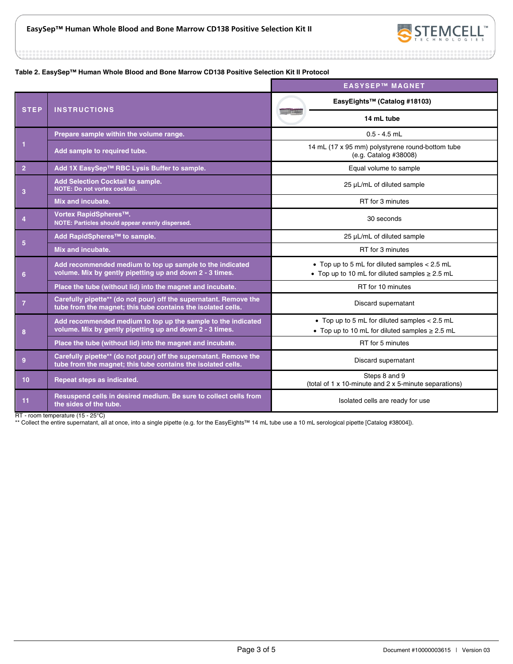

.............

#### **Table 2. EasySep™ Human Whole Blood and Bone Marrow CD138 Positive Selection Kit II Protocol**

|                 |                                                                                                                                   | <b>EASYSEP™ MAGNET</b>                                                                                 |  |
|-----------------|-----------------------------------------------------------------------------------------------------------------------------------|--------------------------------------------------------------------------------------------------------|--|
| <b>STEP</b>     | <b>INSTRUCTIONS</b>                                                                                                               | EasyEights™ (Catalog #18103)                                                                           |  |
|                 |                                                                                                                                   | 14 mL tube                                                                                             |  |
|                 | Prepare sample within the volume range.                                                                                           | $0.5 - 4.5$ mL                                                                                         |  |
| $\mathbf{1}$    | Add sample to required tube.                                                                                                      | 14 mL (17 x 95 mm) polystyrene round-bottom tube<br>(e.g. Catalog #38008)                              |  |
| $\overline{2}$  | Add 1X EasySep™ RBC Lysis Buffer to sample.                                                                                       | Equal volume to sample                                                                                 |  |
| 3               | <b>Add Selection Cocktail to sample.</b><br>NOTE: Do not vortex cocktail.                                                         | 25 µL/mL of diluted sample                                                                             |  |
|                 | Mix and incubate.                                                                                                                 | RT for 3 minutes                                                                                       |  |
| $\overline{4}$  | Vortex RapidSpheres™.<br>NOTE: Particles should appear evenly dispersed.                                                          | 30 seconds                                                                                             |  |
|                 | Add RapidSpheres <sup>™</sup> to sample.                                                                                          | 25 µL/mL of diluted sample                                                                             |  |
| $5\phantom{.0}$ | Mix and incubate.                                                                                                                 | RT for 3 minutes                                                                                       |  |
| 6               | Add recommended medium to top up sample to the indicated<br>volume. Mix by gently pipetting up and down 2 - 3 times.              | • Top up to 5 mL for diluted samples < 2.5 mL<br>• Top up to 10 mL for diluted samples $\geq$ 2.5 mL   |  |
|                 | Place the tube (without lid) into the magnet and incubate.                                                                        | RT for 10 minutes                                                                                      |  |
| $\overline{7}$  | Carefully pipette** (do not pour) off the supernatant. Remove the<br>tube from the magnet; this tube contains the isolated cells. | Discard supernatant                                                                                    |  |
| 8               | Add recommended medium to top up the sample to the indicated<br>volume. Mix by gently pipetting up and down 2 - 3 times.          | • Top up to 5 mL for diluted samples $< 2.5$ mL<br>• Top up to 10 mL for diluted samples $\geq 2.5$ mL |  |
|                 | Place the tube (without lid) into the magnet and incubate.                                                                        | RT for 5 minutes                                                                                       |  |
| 9               | Carefully pipette** (do not pour) off the supernatant. Remove the<br>tube from the magnet; this tube contains the isolated cells. | Discard supernatant                                                                                    |  |
| 10              | Repeat steps as indicated.                                                                                                        | Steps 8 and 9<br>(total of 1 x 10-minute and 2 x 5-minute separations)                                 |  |
| 11              | Resuspend cells in desired medium. Be sure to collect cells from<br>the sides of the tube.                                        | Isolated cells are ready for use                                                                       |  |

RT - room temperature (15 - 25°C)

\*\* Collect the entire supernatant, all at once, into a single pipette (e.g. for the EasyEights™ 14 mL tube use a 10 mL serological pipette [Catalog #38004]).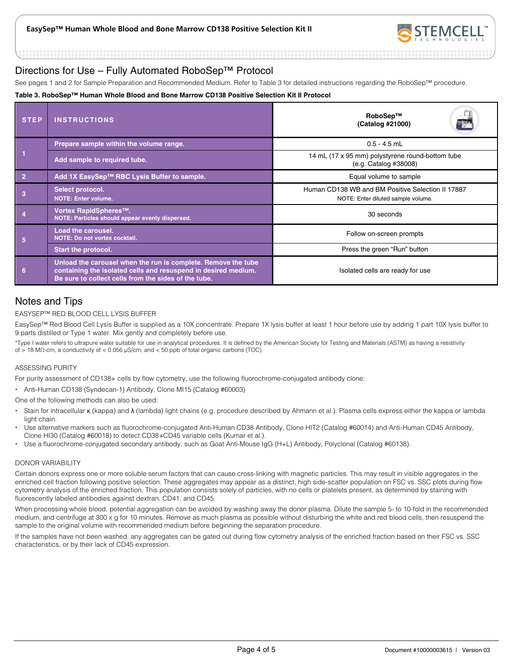

# Directions for Use – Fully Automated RoboSep™ Protocol

See pages 1 and 2 for Sample Preparation and Recommended Medium. Refer to Table 3 for detailed instructions regarding the RoboSep™ procedure.

#### **Table 3. RoboSep™ Human Whole Blood and Bone Marrow CD138 Positive Selection Kit II Protocol**

| <b>STEP</b>                                                     | <b>INSTRUCTIONS</b>                                                                                                                                                                     | RoboSep™<br>E.<br>(Catalog #21000)                                                      |  |
|-----------------------------------------------------------------|-----------------------------------------------------------------------------------------------------------------------------------------------------------------------------------------|-----------------------------------------------------------------------------------------|--|
|                                                                 | Prepare sample within the volume range.                                                                                                                                                 | $0.5 - 4.5$ mL                                                                          |  |
|                                                                 | Add sample to required tube.                                                                                                                                                            | 14 mL (17 x 95 mm) polystyrene round-bottom tube<br>(e.g. Catalog #38008)               |  |
| $\overline{2}$                                                  | Add 1X EasySep™ RBC Lysis Buffer to sample.                                                                                                                                             | Equal volume to sample                                                                  |  |
|                                                                 | Select protocol.<br><b>NOTE: Enter volume.</b>                                                                                                                                          | Human CD138 WB and BM Positive Selection II 17887<br>NOTE: Enter diluted sample volume. |  |
|                                                                 | Vortex RapidSpheres <sup>™</sup> .<br>NOTE: Particles should appear evenly dispersed.                                                                                                   | 30 seconds                                                                              |  |
| Load the carousel.<br><b>NOTE: Do not vortex cocktail.</b><br>5 |                                                                                                                                                                                         | Follow on-screen prompts                                                                |  |
|                                                                 | <b>Start the protocol.</b>                                                                                                                                                              | Press the green "Run" button                                                            |  |
| 6                                                               | Unload the carousel when the run is complete. Remove the tube<br>containing the isolated cells and resuspend in desired medium.<br>Be sure to collect cells from the sides of the tube. | Isolated cells are ready for use                                                        |  |

# Notes and Tips

### EASYSEP™ RED BLOOD CELL LYSIS BUFFER

EasySep™ Red Blood Cell Lysis Buffer is supplied as a 10X concentrate. Prepare 1X lysis buffer at least 1 hour before use by adding 1 part 10X lysis buffer to 9 parts distilled or Type 1 water. Mix gently and completely before use.

\*Type I water refers to ultrapure water suitable for use in analytical procedures. It is defined by the American Society for Testing and Materials (ASTM) as having a resistivity of > 18 MΩ-cm, a conductivity of < 0.056 μS/cm, and < 50 ppb of total organic carbons (TOC).

#### ASSESSING PURITY

For purity assessment of CD138+ cells by flow cytometry, use the following fluorochrome-conjugated antibody clone:

Anti-Human CD138 (Syndecan-1) Antibody, Clone MI15 (Catalog #60003)

One of the following methods can also be used:

- Stain for intracellular κ (kappa) and λ (lambda) light chains (e.g. procedure described by Ahmann et al.). Plasma cells express either the kappa or lambda light chain.
- Use alternative markers such as fluorochrome-conjugated Anti-Human CD38 Antibody, Clone HIT2 (Catalog #60014) and Anti-Human CD45 Antibody, Clone HI30 (Catalog #60018) to detect CD38+CD45 variable cells (Kumar et al.).
- Use a fluorochrome-conjugated secondary antibody, such as Goat Anti-Mouse IgG (H+L) Antibody, Polyclonal (Catalog #60138).

#### DONOR VARIABILITY

Certain donors express one or more soluble serum factors that can cause cross-linking with magnetic particles. This may result in visible aggregates in the enriched cell fraction following positive selection. These aggregates may appear as a distinct, high side-scatter population on FSC vs. SSC plots during flow cytometry analysis of the enriched fraction. This population consists solely of particles, with no cells or platelets present, as determined by staining with fluorescently labeled antibodies against dextran, CD41, and CD45.

When processing whole blood, potential aggregation can be avoided by washing away the donor plasma. Dilute the sample 5- to 10-fold in the recommended medium, and centrifuge at 300 x g for 10 minutes. Remove as much plasma as possible without disturbing the white and red blood cells, then resuspend the sample to the original volume with recommended medium before beginning the separation procedure.

If the samples have not been washed, any aggregates can be gated out during flow cytometry analysis of the enriched fraction based on their FSC vs. SSC characteristics, or by their lack of CD45 expression.